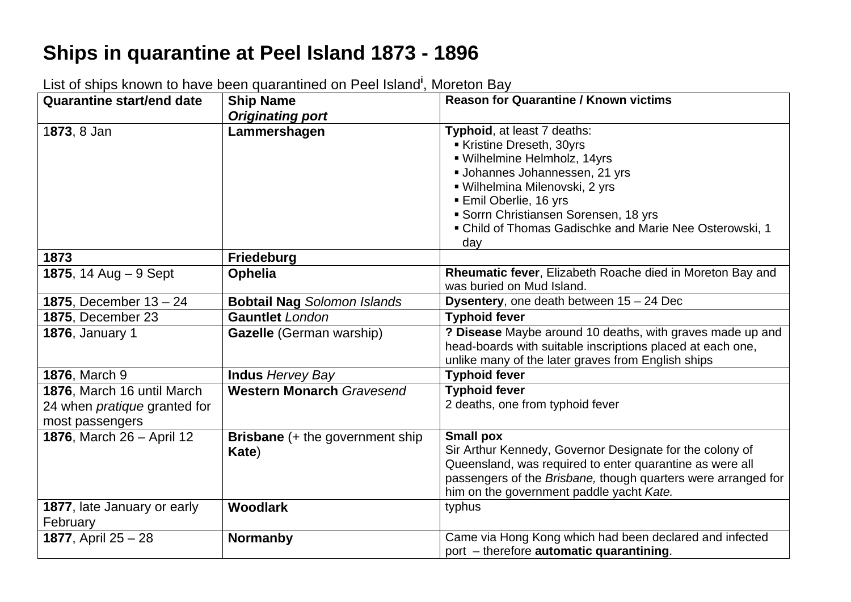## **Ships in quarantine at Peel Island 1873 - 1896**

| <b>Quarantine start/end date</b>                                                     | <b>Ship Name</b>                                | <b>Reason for Quarantine / Known victims</b>                                                                                                                                                                                                                                                     |
|--------------------------------------------------------------------------------------|-------------------------------------------------|--------------------------------------------------------------------------------------------------------------------------------------------------------------------------------------------------------------------------------------------------------------------------------------------------|
|                                                                                      | <b>Originating port</b>                         |                                                                                                                                                                                                                                                                                                  |
| 1873, 8 Jan                                                                          | Lammershagen                                    | Typhoid, at least 7 deaths:<br>Kristine Dreseth, 30yrs<br>· Wilhelmine Helmholz, 14yrs<br>Johannes Johannessen, 21 yrs<br>· Wilhelmina Milenovski, 2 yrs<br><b>Emil Oberlie, 16 yrs</b><br>Sorrn Christiansen Sorensen, 18 yrs<br>• Child of Thomas Gadischke and Marie Nee Osterowski, 1<br>day |
| 1873                                                                                 | <b>Friedeburg</b>                               |                                                                                                                                                                                                                                                                                                  |
| 1875, 14 Aug $-9$ Sept                                                               | <b>Ophelia</b>                                  | Rheumatic fever, Elizabeth Roache died in Moreton Bay and<br>was buried on Mud Island.                                                                                                                                                                                                           |
| <b>1875, December <math>13 - 24</math></b>                                           | <b>Bobtail Nag Solomon Islands</b>              | <b>Dysentery, one death between <math>15 - 24</math> Dec</b>                                                                                                                                                                                                                                     |
| <b>1875, December 23</b>                                                             | <b>Gauntlet</b> London                          | <b>Typhoid fever</b>                                                                                                                                                                                                                                                                             |
| 1876, January 1                                                                      | <b>Gazelle</b> (German warship)                 | ? Disease Maybe around 10 deaths, with graves made up and<br>head-boards with suitable inscriptions placed at each one,<br>unlike many of the later graves from English ships                                                                                                                    |
| 1876, March 9                                                                        | <b>Indus Hervey Bay</b>                         | <b>Typhoid fever</b>                                                                                                                                                                                                                                                                             |
| 1876, March 16 until March<br>24 when <i>pratique</i> granted for<br>most passengers | <b>Western Monarch Gravesend</b>                | <b>Typhoid fever</b><br>2 deaths, one from typhoid fever                                                                                                                                                                                                                                         |
| 1876, March 26 - April 12                                                            | <b>Brisbane</b> (+ the government ship<br>Kate) | <b>Small pox</b><br>Sir Arthur Kennedy, Governor Designate for the colony of<br>Queensland, was required to enter quarantine as were all<br>passengers of the Brisbane, though quarters were arranged for<br>him on the government paddle yacht Kate.                                            |
| 1877, late January or early<br>February                                              | <b>Woodlark</b>                                 | typhus                                                                                                                                                                                                                                                                                           |
| 1877, April 25 - 28                                                                  | <b>Normanby</b>                                 | Came via Hong Kong which had been declared and infected<br>port - therefore automatic quarantining.                                                                                                                                                                                              |

List of ships known to have been quarantined on Peel Island**<sup>i</sup>**, Moreton Bay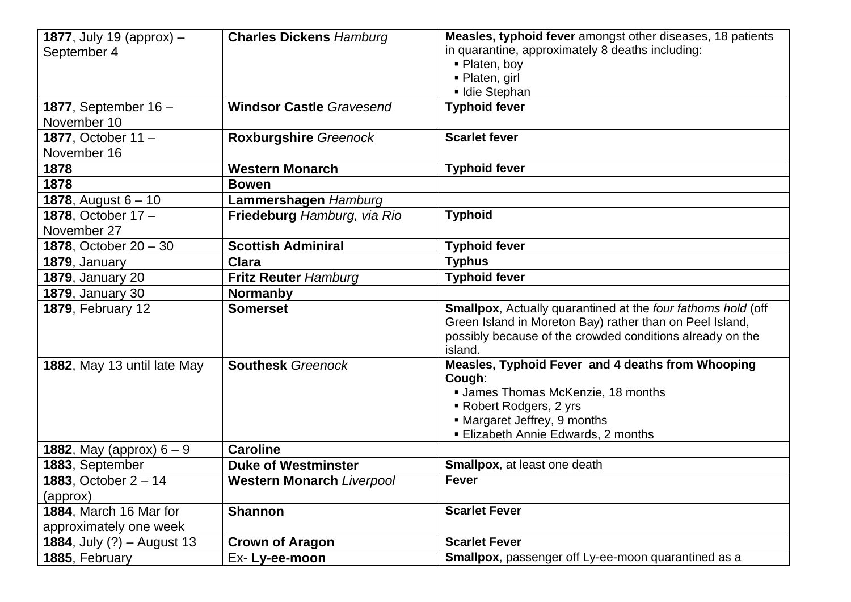| <b>1877</b> , July 19 (approx) $-$           | <b>Charles Dickens Hamburg</b>   | Measles, typhoid fever amongst other diseases, 18 patients           |
|----------------------------------------------|----------------------------------|----------------------------------------------------------------------|
| September 4                                  |                                  | in quarantine, approximately 8 deaths including:                     |
|                                              |                                  | ■ Platen, boy                                                        |
|                                              |                                  | - Platen, girl                                                       |
|                                              |                                  | Idie Stephan                                                         |
| 1877, September $16 -$                       | <b>Windsor Castle Gravesend</b>  | <b>Typhoid fever</b>                                                 |
| November 10                                  |                                  |                                                                      |
| 1877, October 11 -                           | <b>Roxburgshire Greenock</b>     | <b>Scarlet fever</b>                                                 |
| November 16                                  |                                  |                                                                      |
| 1878                                         | <b>Western Monarch</b>           | <b>Typhoid fever</b>                                                 |
| 1878                                         | <b>Bowen</b>                     |                                                                      |
| <b>1878, August 6 – 10</b>                   | Lammershagen Hamburg             |                                                                      |
| 1878, October 17-                            | Friedeburg Hamburg, via Rio      | <b>Typhoid</b>                                                       |
| November 27                                  |                                  |                                                                      |
| 1878, October $20 - 30$                      | <b>Scottish Adminiral</b>        | <b>Typhoid fever</b>                                                 |
| 1879, January                                | <b>Clara</b>                     | <b>Typhus</b>                                                        |
| <b>1879, January 20</b>                      | <b>Fritz Reuter Hamburg</b>      | <b>Typhoid fever</b>                                                 |
| <b>1879, January 30</b>                      | <b>Normanby</b>                  |                                                                      |
| <b>1879, February 12</b>                     | <b>Somerset</b>                  | <b>Smallpox</b> , Actually quarantined at the four fathoms hold (off |
|                                              |                                  | Green Island in Moreton Bay) rather than on Peel Island,             |
|                                              |                                  | possibly because of the crowded conditions already on the            |
|                                              |                                  | island.                                                              |
| 1882, May 13 until late May                  | <b>Southesk Greenock</b>         | Measles, Typhoid Fever and 4 deaths from Whooping                    |
|                                              |                                  | Cough:                                                               |
|                                              |                                  | <b>James Thomas McKenzie, 18 months</b>                              |
|                                              |                                  | Robert Rodgers, 2 yrs                                                |
|                                              |                                  | • Margaret Jeffrey, 9 months                                         |
|                                              |                                  | <b>Elizabeth Annie Edwards, 2 months</b>                             |
| <b>1882, May (approx) <math>6 - 9</math></b> | <b>Caroline</b>                  |                                                                      |
| 1883, September                              | <b>Duke of Westminster</b>       | <b>Smallpox, at least one death</b>                                  |
| <b>1883, October <math>2 - 14</math></b>     | <b>Western Monarch Liverpool</b> | <b>Fever</b>                                                         |
| (approx)                                     |                                  |                                                                      |
| 1884, March 16 Mar for                       | <b>Shannon</b>                   | <b>Scarlet Fever</b>                                                 |
| approximately one week                       |                                  |                                                                      |
| <b>1884, July (?) - August 13</b>            | <b>Crown of Aragon</b>           | <b>Scarlet Fever</b>                                                 |
| 1885, February                               | Ex-Ly-ee-moon                    | <b>Smallpox</b> , passenger off Ly-ee-moon quarantined as a          |